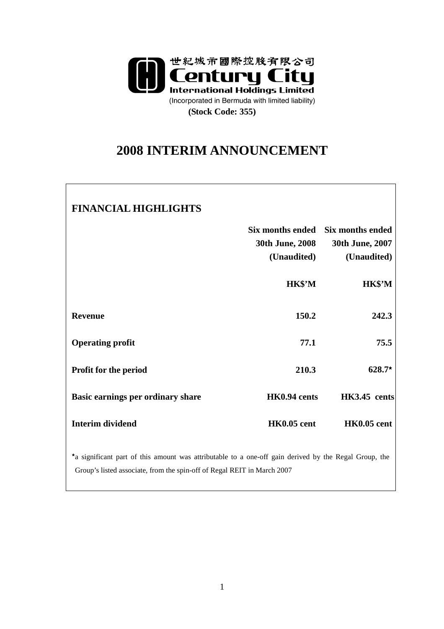

# **2008 INTERIM ANNOUNCEMENT**

### **FINANCIAL HIGHLIGHTS**

|                                   | <b>30th June, 2008</b><br>(Unaudited) | Six months ended Six months ended<br>30th June, 2007<br>(Unaudited) |
|-----------------------------------|---------------------------------------|---------------------------------------------------------------------|
|                                   | HK\$'M                                | <b>HK\$'M</b>                                                       |
| <b>Revenue</b>                    | 150.2                                 | 242.3                                                               |
| <b>Operating profit</b>           | 77.1                                  | 75.5                                                                |
| <b>Profit for the period</b>      | 210.3                                 | $628.7*$                                                            |
| Basic earnings per ordinary share | HK0.94 cents                          | HK3.45 cents                                                        |
| <b>Interim dividend</b>           | <b>HK0.05</b> cent                    | <b>HK0.05</b> cent                                                  |

★ a significant part of this amount was attributable to a one-off gain derived by the Regal Group, the Group's listed associate, from the spin-off of Regal REIT in March 2007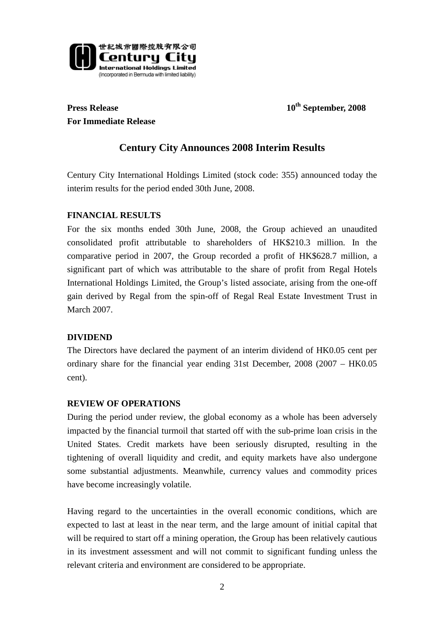

**Press Release** 10<sup>th</sup> September, 2008 **For Immediate Release** 

## **Century City Announces 2008 Interim Results**

Century City International Holdings Limited (stock code: 355) announced today the interim results for the period ended 30th June, 2008.

#### **FINANCIAL RESULTS**

For the six months ended 30th June, 2008, the Group achieved an unaudited consolidated profit attributable to shareholders of HK\$210.3 million. In the comparative period in 2007, the Group recorded a profit of HK\$628.7 million, a significant part of which was attributable to the share of profit from Regal Hotels International Holdings Limited, the Group's listed associate, arising from the one-off gain derived by Regal from the spin-off of Regal Real Estate Investment Trust in March 2007.

#### **DIVIDEND**

The Directors have declared the payment of an interim dividend of HK0.05 cent per ordinary share for the financial year ending 31st December, 2008 (2007 – HK0.05 cent).

#### **REVIEW OF OPERATIONS**

During the period under review, the global economy as a whole has been adversely impacted by the financial turmoil that started off with the sub-prime loan crisis in the United States. Credit markets have been seriously disrupted, resulting in the tightening of overall liquidity and credit, and equity markets have also undergone some substantial adjustments. Meanwhile, currency values and commodity prices have become increasingly volatile.

Having regard to the uncertainties in the overall economic conditions, which are expected to last at least in the near term, and the large amount of initial capital that will be required to start off a mining operation, the Group has been relatively cautious in its investment assessment and will not commit to significant funding unless the relevant criteria and environment are considered to be appropriate.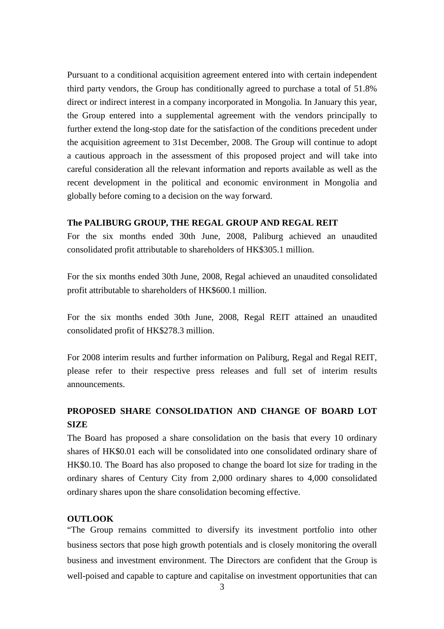Pursuant to a conditional acquisition agreement entered into with certain independent third party vendors, the Group has conditionally agreed to purchase a total of 51.8% direct or indirect interest in a company incorporated in Mongolia. In January this year, the Group entered into a supplemental agreement with the vendors principally to further extend the long-stop date for the satisfaction of the conditions precedent under the acquisition agreement to 31st December, 2008. The Group will continue to adopt a cautious approach in the assessment of this proposed project and will take into careful consideration all the relevant information and reports available as well as the recent development in the political and economic environment in Mongolia and globally before coming to a decision on the way forward.

#### **The PALIBURG GROUP, THE REGAL GROUP AND REGAL REIT**

For the six months ended 30th June, 2008, Paliburg achieved an unaudited consolidated profit attributable to shareholders of HK\$305.1 million.

For the six months ended 30th June, 2008, Regal achieved an unaudited consolidated profit attributable to shareholders of HK\$600.1 million.

For the six months ended 30th June, 2008, Regal REIT attained an unaudited consolidated profit of HK\$278.3 million.

For 2008 interim results and further information on Paliburg, Regal and Regal REIT, please refer to their respective press releases and full set of interim results announcements.

### **PROPOSED SHARE CONSOLIDATION AND CHANGE OF BOARD LOT SIZE**

The Board has proposed a share consolidation on the basis that every 10 ordinary shares of HK\$0.01 each will be consolidated into one consolidated ordinary share of HK\$0.10. The Board has also proposed to change the board lot size for trading in the ordinary shares of Century City from 2,000 ordinary shares to 4,000 consolidated ordinary shares upon the share consolidation becoming effective.

#### **OUTLOOK**

"The Group remains committed to diversify its investment portfolio into other business sectors that pose high growth potentials and is closely monitoring the overall business and investment environment. The Directors are confident that the Group is well-poised and capable to capture and capitalise on investment opportunities that can